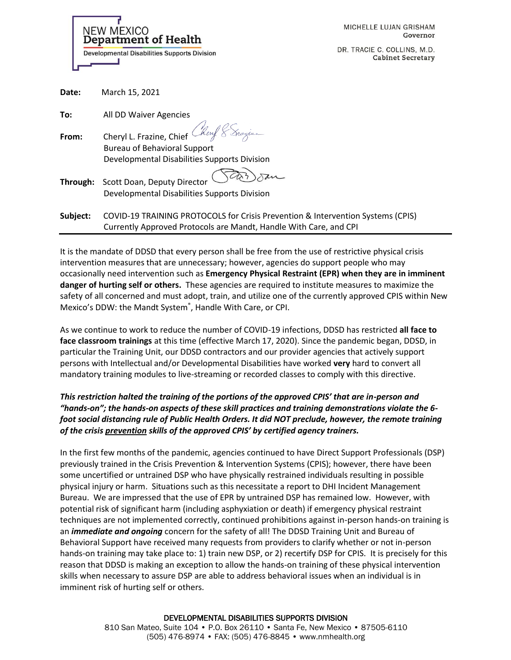| MICHELLE LUJAN GRISHAM |          |
|------------------------|----------|
|                        | Governor |

DR. TRACIE C. COLLINS, M.D. **Cabinet Secretary** 

| <b>NEW MEXICO</b> | <b>Department of Health</b>                         |
|-------------------|-----------------------------------------------------|
|                   | <b>Developmental Disabilities Supports Division</b> |

**Date:** March 15, 2021

| <b>IVIGILII 10, ZUZI</b>                                                        |
|---------------------------------------------------------------------------------|
| All DD Waiver Agencies                                                          |
| Cheryl L. Frazine, Chief Cheryl & Snazius                                       |
| <b>Bureau of Behavioral Support</b>                                             |
| Developmental Disabilities Supports Division                                    |
| Scott Doan, Deputy Director                                                     |
| Developmental Disabilities Supports Division                                    |
| COVID-19 TRAINING PROTOCOLS for Crisis Prevention & Intervention Systems (CPIS) |
| Currently Approved Protocols are Mandt, Handle With Care, and CPI               |
|                                                                                 |

It is the mandate of DDSD that every person shall be free from the use of restrictive physical crisis intervention measures that are unnecessary; however, agencies do support people who may occasionally need intervention such as **Emergency Physical Restraint (EPR) when they are in imminent danger of hurting self or others.** These agencies are required to institute measures to maximize the safety of all concerned and must adopt, train, and utilize one of the currently approved CPIS within New Mexico's DDW: the Mandt System® , Handle With Care, or CPI.

As we continue to work to reduce the number of COVID-19 infections, DDSD has restricted **all face to face classroom trainings** at this time (effective March 17, 2020). Since the pandemic began, DDSD, in particular the Training Unit, our DDSD contractors and our provider agencies that actively support persons with Intellectual and/or Developmental Disabilities have worked **very** hard to convert all mandatory training modules to live-streaming or recorded classes to comply with this directive.

## *This restriction halted the training of the portions of the approved CPIS' that are in-person and "hands-on"; the hands-on aspects of these skill practices and training demonstrations violate the 6 foot social distancing rule of Public Health Orders. It did NOT preclude, however, the remote training of the crisis prevention skills of the approved CPIS' by certified agency trainers.*

In the first few months of the pandemic, agencies continued to have Direct Support Professionals (DSP) previously trained in the Crisis Prevention & Intervention Systems (CPIS); however, there have been some uncertified or untrained DSP who have physically restrained individuals resulting in possible physical injury or harm. Situations such as this necessitate a report to DHI Incident Management Bureau. We are impressed that the use of EPR by untrained DSP has remained low. However, with potential risk of significant harm (including asphyxiation or death) if emergency physical restraint techniques are not implemented correctly, continued prohibitions against in-person hands-on training is an *immediate and ongoing* concern for the safety of all! The DDSD Training Unit and Bureau of Behavioral Support have received many requests from providers to clarify whether or not in-person hands-on training may take place to: 1) train new DSP, or 2) recertify DSP for CPIS. It is precisely for this reason that DDSD is making an exception to allow the hands-on training of these physical intervention skills when necessary to assure DSP are able to address behavioral issues when an individual is in imminent risk of hurting self or others.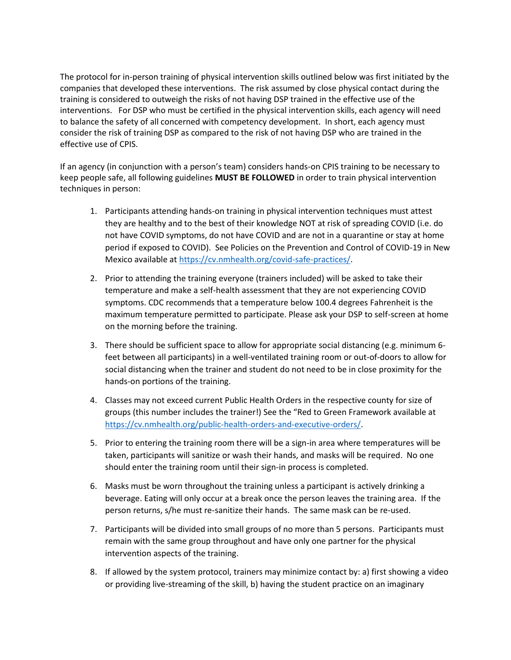The protocol for in-person training of physical intervention skills outlined below was first initiated by the companies that developed these interventions. The risk assumed by close physical contact during the training is considered to outweigh the risks of not having DSP trained in the effective use of the interventions. For DSP who must be certified in the physical intervention skills, each agency will need to balance the safety of all concerned with competency development. In short, each agency must consider the risk of training DSP as compared to the risk of not having DSP who are trained in the effective use of CPIS.

If an agency (in conjunction with a person's team) considers hands-on CPIS training to be necessary to keep people safe, all following guidelines **MUST BE FOLLOWED** in order to train physical intervention techniques in person:

- 1. Participants attending hands-on training in physical intervention techniques must attest they are healthy and to the best of their knowledge NOT at risk of spreading COVID (i.e. do not have COVID symptoms, do not have COVID and are not in a quarantine or stay at home period if exposed to COVID). See Policies on the Prevention and Control of COVID-19 in New Mexico available a[t https://cv.nmhealth.org/covid-safe-practices/.](https://cv.nmhealth.org/covid-safe-practices/)
- 2. Prior to attending the training everyone (trainers included) will be asked to take their temperature and make a self-health assessment that they are not experiencing COVID symptoms. CDC recommends that a temperature below 100.4 degrees Fahrenheit is the maximum temperature permitted to participate. Please ask your DSP to self-screen at home on the morning before the training.
- 3. There should be sufficient space to allow for appropriate social distancing (e.g. minimum 6 feet between all participants) in a well-ventilated training room or out-of-doors to allow for social distancing when the trainer and student do not need to be in close proximity for the hands-on portions of the training.
- 4. Classes may not exceed current Public Health Orders in the respective county for size of groups (this number includes the trainer!) See the "Red to Green Framework available at [https://cv.nmhealth.org/public-health-orders-and-executive-orders/.](https://cv.nmhealth.org/public-health-orders-and-executive-orders/)
- 5. Prior to entering the training room there will be a sign-in area where temperatures will be taken, participants will sanitize or wash their hands, and masks will be required. No one should enter the training room until their sign-in process is completed.
- 6. Masks must be worn throughout the training unless a participant is actively drinking a beverage. Eating will only occur at a break once the person leaves the training area. If the person returns, s/he must re-sanitize their hands. The same mask can be re-used.
- 7. Participants will be divided into small groups of no more than 5 persons. Participants must remain with the same group throughout and have only one partner for the physical intervention aspects of the training.
- 8. If allowed by the system protocol, trainers may minimize contact by: a) first showing a video or providing live-streaming of the skill, b) having the student practice on an imaginary